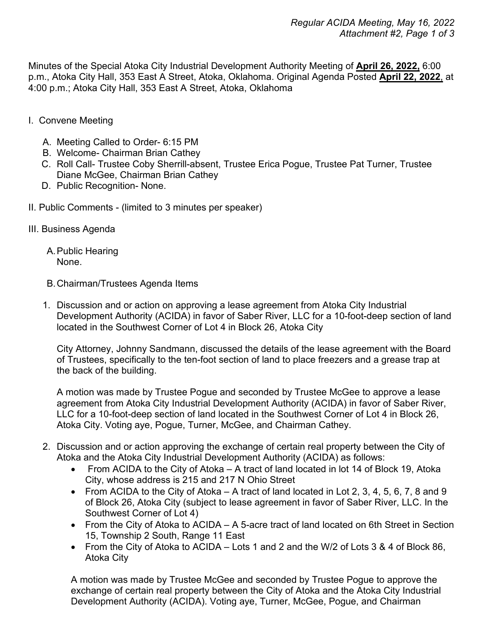Minutes of the Special Atoka City Industrial Development Authority Meeting of **April 26, 2022,** 6:00 p.m., Atoka City Hall, 353 East A Street, Atoka, Oklahoma. Original Agenda Posted **April 22, 2022**, at 4:00 p.m.; Atoka City Hall, 353 East A Street, Atoka, Oklahoma

- I. Convene Meeting
	- A. Meeting Called to Order- 6:15 PM
	- B. Welcome- Chairman Brian Cathey
	- C. Roll Call- Trustee Coby Sherrill-absent, Trustee Erica Pogue, Trustee Pat Turner, Trustee Diane McGee, Chairman Brian Cathey
	- D. Public Recognition- None.
- II. Public Comments (limited to 3 minutes per speaker)
- III. Business Agenda
	- A.Public Hearing None.
	- B.Chairman/Trustees Agenda Items
	- 1. Discussion and or action on approving a lease agreement from Atoka City Industrial Development Authority (ACIDA) in favor of Saber River, LLC for a 10-foot-deep section of land located in the Southwest Corner of Lot 4 in Block 26, Atoka City

City Attorney, Johnny Sandmann, discussed the details of the lease agreement with the Board of Trustees, specifically to the ten-foot section of land to place freezers and a grease trap at the back of the building.

A motion was made by Trustee Pogue and seconded by Trustee McGee to approve a lease agreement from Atoka City Industrial Development Authority (ACIDA) in favor of Saber River, LLC for a 10-foot-deep section of land located in the Southwest Corner of Lot 4 in Block 26, Atoka City. Voting aye, Pogue, Turner, McGee, and Chairman Cathey.

- 2. Discussion and or action approving the exchange of certain real property between the City of Atoka and the Atoka City Industrial Development Authority (ACIDA) as follows:
	- From ACIDA to the City of Atoka A tract of land located in lot 14 of Block 19, Atoka City, whose address is 215 and 217 N Ohio Street
	- From ACIDA to the City of Atoka A tract of land located in Lot 2, 3, 4, 5, 6, 7, 8 and 9 of Block 26, Atoka City (subject to lease agreement in favor of Saber River, LLC. In the Southwest Corner of Lot 4)
	- From the City of Atoka to ACIDA A 5-acre tract of land located on 6th Street in Section 15, Township 2 South, Range 11 East
	- From the City of Atoka to ACIDA Lots 1 and 2 and the W/2 of Lots 3 & 4 of Block 86, Atoka City

A motion was made by Trustee McGee and seconded by Trustee Pogue to approve the exchange of certain real property between the City of Atoka and the Atoka City Industrial Development Authority (ACIDA). Voting aye, Turner, McGee, Pogue, and Chairman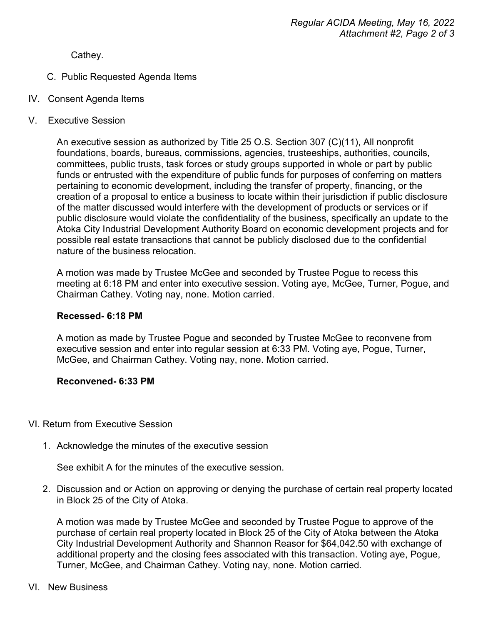Cathey.

# C. Public Requested Agenda Items

- IV. Consent Agenda Items
- V. Executive Session

An executive session as authorized by Title 25 O.S. Section 307 (C)(11), All nonprofit foundations, boards, bureaus, commissions, agencies, trusteeships, authorities, councils, committees, public trusts, task forces or study groups supported in whole or part by public funds or entrusted with the expenditure of public funds for purposes of conferring on matters pertaining to economic development, including the transfer of property, financing, or the creation of a proposal to entice a business to locate within their jurisdiction if public disclosure of the matter discussed would interfere with the development of products or services or if public disclosure would violate the confidentiality of the business, specifically an update to the Atoka City Industrial Development Authority Board on economic development projects and for possible real estate transactions that cannot be publicly disclosed due to the confidential nature of the business relocation.

A motion was made by Trustee McGee and seconded by Trustee Pogue to recess this meeting at 6:18 PM and enter into executive session. Voting aye, McGee, Turner, Pogue, and Chairman Cathey. Voting nay, none. Motion carried.

#### **Recessed- 6:18 PM**

A motion as made by Trustee Pogue and seconded by Trustee McGee to reconvene from executive session and enter into regular session at 6:33 PM. Voting aye, Pogue, Turner, McGee, and Chairman Cathey. Voting nay, none. Motion carried.

### **Reconvened- 6:33 PM**

### VI. Return from Executive Session

1. Acknowledge the minutes of the executive session

See exhibit A for the minutes of the executive session.

2. Discussion and or Action on approving or denying the purchase of certain real property located in Block 25 of the City of Atoka.

A motion was made by Trustee McGee and seconded by Trustee Pogue to approve of the purchase of certain real property located in Block 25 of the City of Atoka between the Atoka City Industrial Development Authority and Shannon Reasor for \$64,042.50 with exchange of additional property and the closing fees associated with this transaction. Voting aye, Pogue, Turner, McGee, and Chairman Cathey. Voting nay, none. Motion carried.

#### VI. New Business